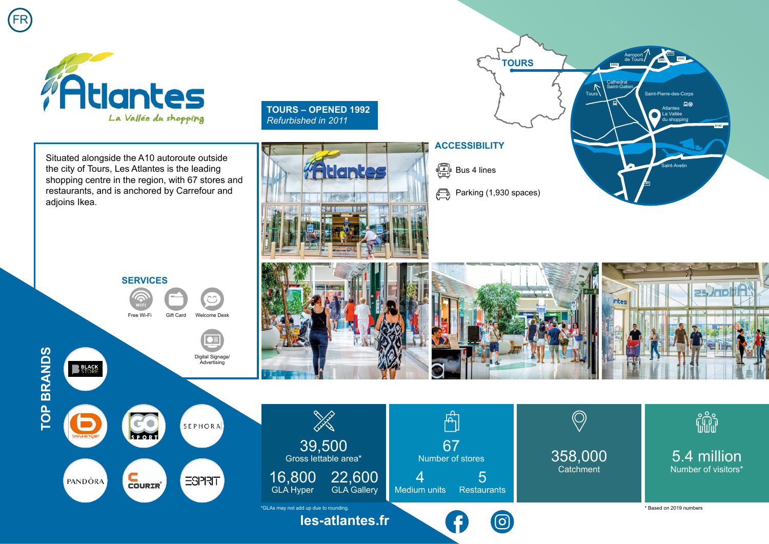

Situated alongside the A10 autoroute outside the city of Tours, Les Atlantes is the leading shopping centre in the region, with 67 stores and restaurants, and is anchored by Carrefour and adjoins Ikea.

**SERVICES**

Free Wi-Fi Gift Card Welcome Desk

Digital Signage/ Advertising

en

**TOURS – OPENED 1992** *Refurbished in 2011*



## **ACCESSIBILITY**

 $\begin{array}{cc} \begin{array}{ccc} \begin{array}{ccc} \hline \mathbb{R} & \mathbb{R} \\ \hline \mathbb{R} & \mathbb{R} \end{array} & \mathsf{Bus} \end{array} \end{array}$ 

Parking (1,930 spaces)  $\bigoplus$ 

**TOURS**

**D952**

口⊛

**D140**

**D801**

Atlantes La Vallée du shopping

Saint-Pierre-des-Corps

**A10**

Saint-Avetin

**E60**

**D952**

Aeroport de Tours

**Cathedral** Saint-Gatien

 $\n <sup>T</sup>$ 





**TOP BRANDS TOP BRANDS**

**BLACK**<br>STORE

FR